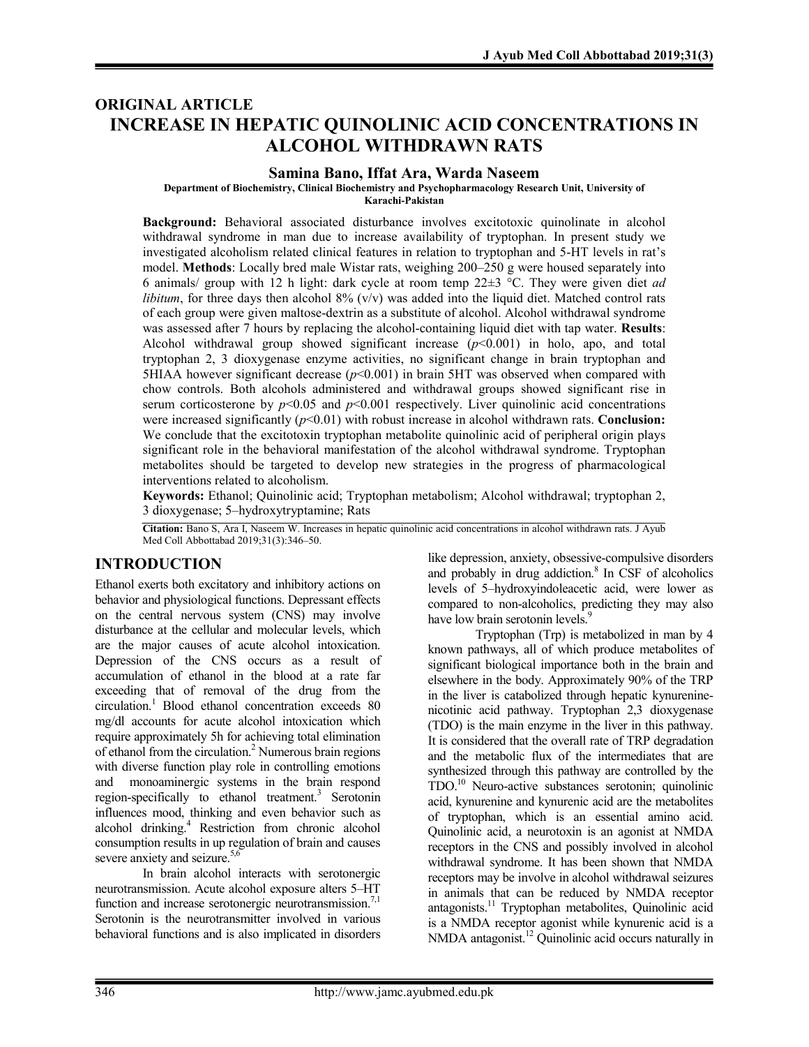## **ORIGINAL ARTICLE INCREASE IN HEPATIC QUINOLINIC ACID CONCENTRATIONS IN ALCOHOL WITHDRAWN RATS**

#### **Samina Bano, Iffat Ara, Warda Naseem**

**Department of Biochemistry, Clinical Biochemistry and Psychopharmacology Research Unit, University of** 

**Karachi-Pakistan**

**Background:** Behavioral associated disturbance involves excitotoxic quinolinate in alcohol withdrawal syndrome in man due to increase availability of tryptophan. In present study we investigated alcoholism related clinical features in relation to tryptophan and 5-HT levels in rat's model. **Methods**: Locally bred male Wistar rats, weighing 200–250 g were housed separately into 6 animals/ group with 12 h light: dark cycle at room temp 22±3 °C. They were given diet *ad libitum*, for three days then alcohol 8% (v/v) was added into the liquid diet. Matched control rats of each group were given maltose-dextrin as a substitute of alcohol. Alcohol withdrawal syndrome was assessed after 7 hours by replacing the alcohol-containing liquid diet with tap water. **Results**: Alcohol withdrawal group showed significant increase  $(p<0.001)$  in holo, apo, and total tryptophan 2, 3 dioxygenase enzyme activities, no significant change in brain tryptophan and 5HIAA however significant decrease  $(p<0.001)$  in brain 5HT was observed when compared with chow controls. Both alcohols administered and withdrawal groups showed significant rise in serum corticosterone by  $p<0.05$  and  $p<0.001$  respectively. Liver quinolinic acid concentrations were increased significantly ( $p<0.01$ ) with robust increase in alcohol withdrawn rats. **Conclusion:** We conclude that the excitotoxin tryptophan metabolite quinolinic acid of peripheral origin plays significant role in the behavioral manifestation of the alcohol withdrawal syndrome. Tryptophan metabolites should be targeted to develop new strategies in the progress of pharmacological interventions related to alcoholism.

**Keywords:** Ethanol; Quinolinic acid; Tryptophan metabolism; Alcohol withdrawal; tryptophan 2, 3 dioxygenase; 5–hydroxytryptamine; Rats

**Citation:** Bano S, Ara I, Naseem W. Increases in hepatic quinolinic acid concentrations in alcohol withdrawn rats. J Ayub Med Coll Abbottabad 2019;31(3):346–50.

### **INTRODUCTION**

Ethanol exerts both excitatory and inhibitory actions on behavior and physiological functions. Depressant effects on the central nervous system (CNS) may involve disturbance at the cellular and molecular levels, which are the major causes of acute alcohol intoxication. Depression of the CNS occurs as a result of accumulation of ethanol in the blood at a rate far exceeding that of removal of the drug from the circulation.<sup>1</sup> Blood ethanol concentration exceeds 80 mg/dl accounts for acute alcohol intoxication which require approximately 5h for achieving total elimination of ethanol from the circulation. 2 Numerous brain regions with diverse function play role in controlling emotions and monoaminergic systems in the brain respond region-specifically to ethanol treatment.<sup>3</sup> Serotonin influences mood, thinking and even behavior such as alcohol drinking. <sup>4</sup> Restriction from chronic alcohol consumption results in up regulation of brain and causes severe anxiety and seizure.<sup>5,6</sup>

In brain alcohol interacts with serotonergic neurotransmission. Acute alcohol exposure alters 5–HT function and increase serotonergic neurotransmission.<sup>7,1</sup> Serotonin is the neurotransmitter involved in various behavioral functions and is also implicated in disorders

like depression, anxiety, obsessive-compulsive disorders and probably in drug addiction.<sup>8</sup> In CSF of alcoholics levels of 5–hydroxyindoleacetic acid, were lower as compared to non-alcoholics, predicting they may also have low brain serotonin levels.<sup>9</sup>

Tryptophan (Trp) is metabolized in man by 4 known pathways, all of which produce metabolites of significant biological importance both in the brain and elsewhere in the body. Approximately 90% of the TRP in the liver is catabolized through hepatic kynureninenicotinic acid pathway. Tryptophan 2,3 dioxygenase (TDO) is the main enzyme in the liver in this pathway. It is considered that the overall rate of TRP degradation and the metabolic flux of the intermediates that are synthesized through this pathway are controlled by the TDO.10 Neuro-active substances serotonin; quinolinic acid, kynurenine and kynurenic acid are the metabolites of tryptophan, which is an essential amino acid. Quinolinic acid, a neurotoxin is an agonist at NMDA receptors in the CNS and possibly involved in alcohol withdrawal syndrome. It has been shown that NMDA receptors may be involve in alcohol withdrawal seizures in animals that can be reduced by NMDA receptor antagonists. <sup>11</sup> Tryptophan metabolites, Quinolinic acid is a NMDA receptor agonist while kynurenic acid is a NMDA antagonist.<sup>12</sup> Quinolinic acid occurs naturally in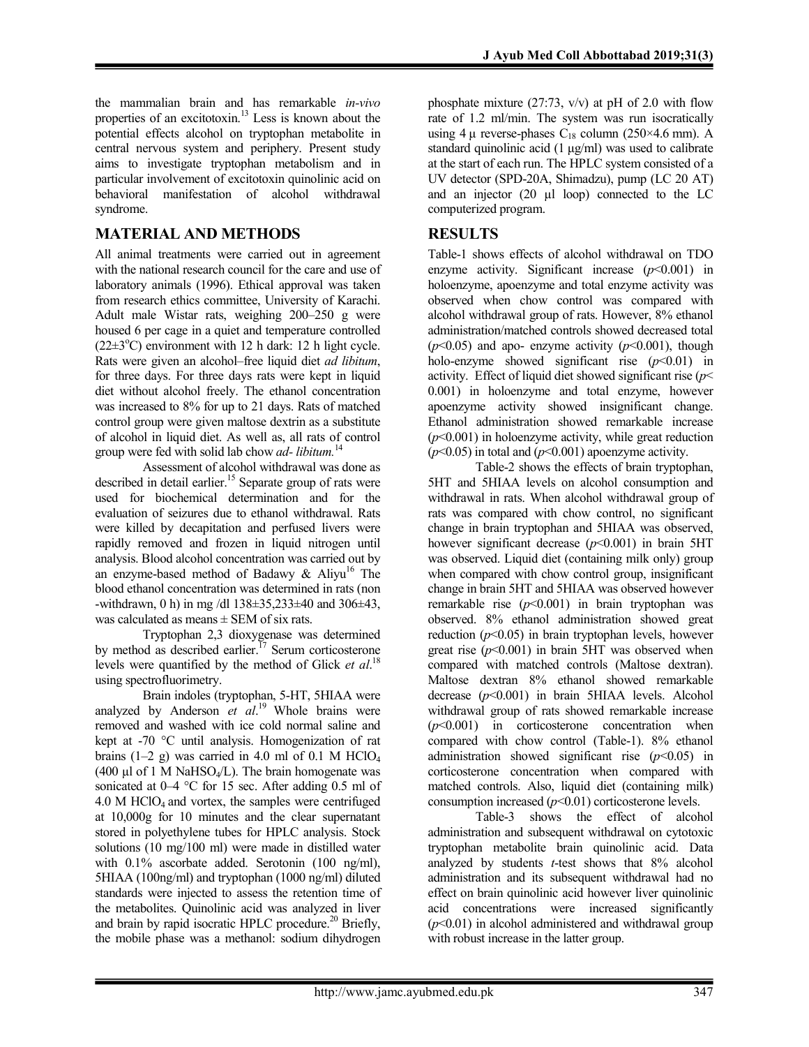the mammalian brain and has remarkable *in-vivo* properties of an excitotoxin. <sup>13</sup> Less is known about the potential effects alcohol on tryptophan metabolite in central nervous system and periphery. Present study aims to investigate tryptophan metabolism and in particular involvement of excitotoxin quinolinic acid on behavioral manifestation of alcohol withdrawal syndrome.

# **MATERIAL AND METHODS**

All animal treatments were carried out in agreement with the national research council for the care and use of laboratory animals (1996). Ethical approval was taken from research ethics committee, University of Karachi. Adult male Wistar rats, weighing 200–250 g were housed 6 per cage in a quiet and temperature controlled  $(22 \pm 3^{\circ}C)$  environment with 12 h dark: 12 h light cycle. Rats were given an alcohol–free liquid diet *ad libitum*, for three days. For three days rats were kept in liquid diet without alcohol freely. The ethanol concentration was increased to 8% for up to 21 days. Rats of matched control group were given maltose dextrin as a substitute of alcohol in liquid diet. As well as, all rats of control group were fed with solid lab chow *ad- libitum.*<sup>14</sup>

Assessment of alcohol withdrawal was done as described in detail earlier.<sup>15</sup> Separate group of rats were used for biochemical determination and for the evaluation of seizures due to ethanol withdrawal. Rats were killed by decapitation and perfused livers were rapidly removed and frozen in liquid nitrogen until analysis. Blood alcohol concentration was carried out by an enzyme-based method of Badawy & Aliyu<sup>16</sup> The blood ethanol concentration was determined in rats (non -withdrawn, 0 h) in mg /dl 138±35,233±40 and 306±43, was calculated as means ± SEM of six rats.

Tryptophan 2,3 dioxygenase was determined by method as described earlier.<sup>17</sup> Serum corticosterone levels were quantified by the method of Glick *et al*. 18 using spectrofluorimetry.

Brain indoles (tryptophan, 5-HT, 5HIAA were analyzed by Anderson *et al*. <sup>19</sup> Whole brains were removed and washed with ice cold normal saline and kept at -70 °C until analysis. Homogenization of rat brains (1–2 g) was carried in 4.0 ml of 0.1 M HClO<sub>4</sub> (400  $\mu$ l of 1 M NaHSO<sub>4</sub>/L). The brain homogenate was sonicated at  $0-4$  °C for 15 sec. After adding 0.5 ml of  $4.0$  M HClO<sub>4</sub> and vortex, the samples were centrifuged at 10,000g for 10 minutes and the clear supernatant stored in polyethylene tubes for HPLC analysis. Stock solutions (10 mg/100 ml) were made in distilled water with  $0.1\%$  ascorbate added. Serotonin (100 ng/ml), 5HIAA (100ng/ml) and tryptophan (1000 ng/ml) diluted standards were injected to assess the retention time of the metabolites. Quinolinic acid was analyzed in liver and brain by rapid isocratic HPLC procedure. <sup>20</sup> Briefly, the mobile phase was a methanol: sodium dihydrogen

phosphate mixture (27:73, v/v) at pH of 2.0 with flow rate of 1.2 ml/min. The system was run isocratically using 4  $\mu$  reverse-phases C<sub>18</sub> column (250×4.6 mm). A standard quinolinic acid (1 μg/ml) was used to calibrate at the start of each run. The HPLC system consisted of a UV detector (SPD-20A, Shimadzu), pump (LC 20 AT) and an injector (20 µl loop) connected to the LC computerized program.

# **RESULTS**

Table-1 shows effects of alcohol withdrawal on TDO enzyme activity. Significant increase  $(p<0.001)$  in holoenzyme, apoenzyme and total enzyme activity was observed when chow control was compared with alcohol withdrawal group of rats. However, 8% ethanol administration/matched controls showed decreased total  $(p<0.05)$  and apo- enzyme activity  $(p<0.001)$ , though holo-enzyme showed significant rise (*p*<0.01) in activity. Effect of liquid diet showed significant rise (*p*< 0.001) in holoenzyme and total enzyme, however apoenzyme activity showed insignificant change. Ethanol administration showed remarkable increase (*p*<0.001) in holoenzyme activity, while great reduction  $(p<0.05)$  in total and  $(p<0.001)$  apoenzyme activity.

Table-2 shows the effects of brain tryptophan, 5HT and 5HIAA levels on alcohol consumption and withdrawal in rats. When alcohol withdrawal group of rats was compared with chow control, no significant change in brain tryptophan and 5HIAA was observed, however significant decrease (*p*<0.001) in brain 5HT was observed. Liquid diet (containing milk only) group when compared with chow control group, insignificant change in brain 5HT and 5HIAA was observed however remarkable rise  $(p<0.001)$  in brain tryptophan was observed. 8% ethanol administration showed great reduction  $(p<0.05)$  in brain tryptophan levels, however great rise  $(p<0.001)$  in brain 5HT was observed when compared with matched controls (Maltose dextran). Maltose dextran 8% ethanol showed remarkable decrease (*p*<0.001) in brain 5HIAA levels. Alcohol withdrawal group of rats showed remarkable increase (*p*<0.001) in corticosterone concentration when compared with chow control (Table-1). 8% ethanol administration showed significant rise (*p*<0.05) in corticosterone concentration when compared with matched controls. Also, liquid diet (containing milk) consumption increased (*p*<0.01) corticosterone levels.

Table-3 shows the effect of alcohol administration and subsequent withdrawal on cytotoxic tryptophan metabolite brain quinolinic acid. Data analyzed by students *t*-test shows that 8% alcohol administration and its subsequent withdrawal had no effect on brain quinolinic acid however liver quinolinic acid concentrations were increased significantly (*p*<0.01) in alcohol administered and withdrawal group with robust increase in the latter group.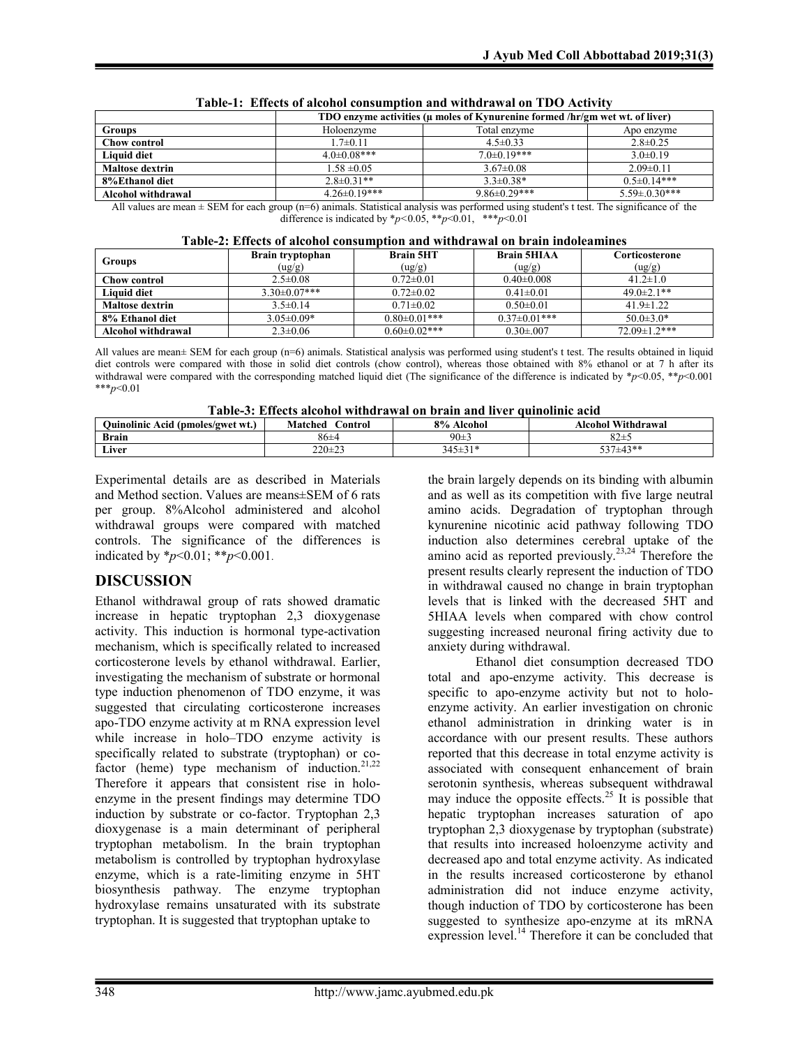|                        | TDO enzyme activities (µ moles of Kynurenine formed /hr/gm wet wt. of liver) |                    |                    |
|------------------------|------------------------------------------------------------------------------|--------------------|--------------------|
| <b>Groups</b>          | Holoenzyme                                                                   | Total enzyme       | Apo enzyme         |
| Chow control           | $1.7 \pm 0.11$                                                               | $4.5 \pm 0.33$     | $2.8 \pm 0.25$     |
| <b>Liquid diet</b>     | $4.0 \pm 0.08$ ***                                                           | $7.0 \pm 0.19***$  | $3.0\pm0.19$       |
| <b>Maltose dextrin</b> | $1.58 \pm 0.05$                                                              | $3.67 \pm 0.08$    | $2.09\pm0.11$      |
| 8%Ethanol diet         | $2.8 \pm 0.31**$                                                             | $3.3 \pm 0.38*$    | $0.5 \pm 0.14***$  |
| Alcohol withdrawal     | $4.26 \pm 0.19***$                                                           | $9.86 \pm 0.29***$ | $5.59 \pm 0.30***$ |

|  | Table-1: Effects of alcohol consumption and withdrawal on TDO Activity |
|--|------------------------------------------------------------------------|
|--|------------------------------------------------------------------------|

All values are mean  $\pm$  SEM for each group (n=6) animals. Statistical analysis was performed using student's t test. The significance of the difference is indicated by  $\frac{*p}{0.05}$ ,  $\frac{*p}{0.01}$ ,  $\frac{**p}{0.01}$ 

|  | Table-2: Effects of alcohol consumption and withdrawal on brain indoleamines |
|--|------------------------------------------------------------------------------|
|--|------------------------------------------------------------------------------|

| Groups                 | Brain tryptophan<br>(ug/g) | <b>Brain 5HT</b><br>(ug/g) | <b>Brain 5HIAA</b><br>(ug/g) | Corticosterone<br>(ug/g) |
|------------------------|----------------------------|----------------------------|------------------------------|--------------------------|
| Chow control           | $2.5 \pm 0.08$             | $0.72 \pm 0.01$            | $0.40 \pm 0.008$             | $41.2 \pm 1.0$           |
| <b>Liquid diet</b>     | $3.30\pm0.07***$           | $0.72 \pm 0.02$            | $0.41 \pm 0.01$              | $49.0 \pm 2.1$ **        |
| <b>Maltose dextrin</b> | $3.5\pm0.14$               | $0.71 \pm 0.02$            | $0.50 \pm 0.01$              | $41.9 \pm 1.22$          |
| 8% Ethanol diet        | $3.05 \pm 0.09*$           | $0.80 \pm 0.01$ ***        | $0.37 \pm 0.01$ ***          | $50.0 \pm 3.0*$          |
| Alcohol withdrawal     | $2.3 \pm 0.06$             | $0.60 \pm 0.02$ ***        | $0.30 \pm 0.007$             | $72.09 \pm 1.2$ ***      |

All values are mean± SEM for each group (n=6) animals. Statistical analysis was performed using student's t test. The results obtained in liquid diet controls were compared with those in solid diet controls (chow control), whereas those obtained with 8% ethanol or at 7 h after its withdrawal were compared with the corresponding matched liquid diet (The significance of the difference is indicated by \**p*<0.05, \*\**p*<0.001 \*\*\**p*<0.01

**Table-3: Effects alcohol withdrawal on brain and liver quinolinic acid**

| Table-9. Effects alcohol withut awal on brain and hyer quinomile acid |                                        |               |                    |
|-----------------------------------------------------------------------|----------------------------------------|---------------|--------------------|
| Quinolinic Acid (pmoles/gwet wt.)                                     | Matched<br>$\mathop{\mathsf{Control}}$ | 8% Alcohol    | Alcohol Withdrawal |
| <b>Brain</b>                                                          | 86±4                                   | 90±3          | $82\pm$            |
| Liver                                                                 | $220 \pm 23$                           | $345 \pm 31*$ | 537±43**           |

Experimental details are as described in Materials and Method section. Values are means±SEM of 6 rats per group. 8%Alcohol administered and alcohol withdrawal groups were compared with matched controls. The significance of the differences is indicated by \**p*<0.01; \*\**p*<0.001.

### **DISCUSSION**

Ethanol withdrawal group of rats showed dramatic increase in hepatic tryptophan 2,3 dioxygenase activity. This induction is hormonal type-activation mechanism, which is specifically related to increased corticosterone levels by ethanol withdrawal. Earlier, investigating the mechanism of substrate or hormonal type induction phenomenon of TDO enzyme, it was suggested that circulating corticosterone increases apo-TDO enzyme activity at m RNA expression level while increase in holo–TDO enzyme activity is specifically related to substrate (tryptophan) or cofactor (heme) type mechanism of induction.<sup>21,22</sup> Therefore it appears that consistent rise in holoenzyme in the present findings may determine TDO induction by substrate or co-factor. Tryptophan 2,3 dioxygenase is a main determinant of peripheral tryptophan metabolism. In the brain tryptophan metabolism is controlled by tryptophan hydroxylase enzyme, which is a rate-limiting enzyme in 5HT biosynthesis pathway. The enzyme tryptophan hydroxylase remains unsaturated with its substrate tryptophan. It is suggested that tryptophan uptake to

the brain largely depends on its binding with albumin and as well as its competition with five large neutral amino acids. Degradation of tryptophan through kynurenine nicotinic acid pathway following TDO induction also determines cerebral uptake of the amino acid as reported previously.<sup>23,24</sup> Therefore the present results clearly represent the induction of TDO in withdrawal caused no change in brain tryptophan levels that is linked with the decreased 5HT and 5HIAA levels when compared with chow control suggesting increased neuronal firing activity due to anxiety during withdrawal.

Ethanol diet consumption decreased TDO total and apo-enzyme activity. This decrease is specific to apo-enzyme activity but not to holoenzyme activity. An earlier investigation on chronic ethanol administration in drinking water is in accordance with our present results. These authors reported that this decrease in total enzyme activity is associated with consequent enhancement of brain serotonin synthesis, whereas subsequent withdrawal may induce the opposite effects.<sup>25</sup> It is possible that hepatic tryptophan increases saturation of apo tryptophan 2,3 dioxygenase by tryptophan (substrate) that results into increased holoenzyme activity and decreased apo and total enzyme activity. As indicated in the results increased corticosterone by ethanol administration did not induce enzyme activity, though induction of TDO by corticosterone has been suggested to synthesize apo-enzyme at its mRNA expression level.<sup>14</sup> Therefore it can be concluded that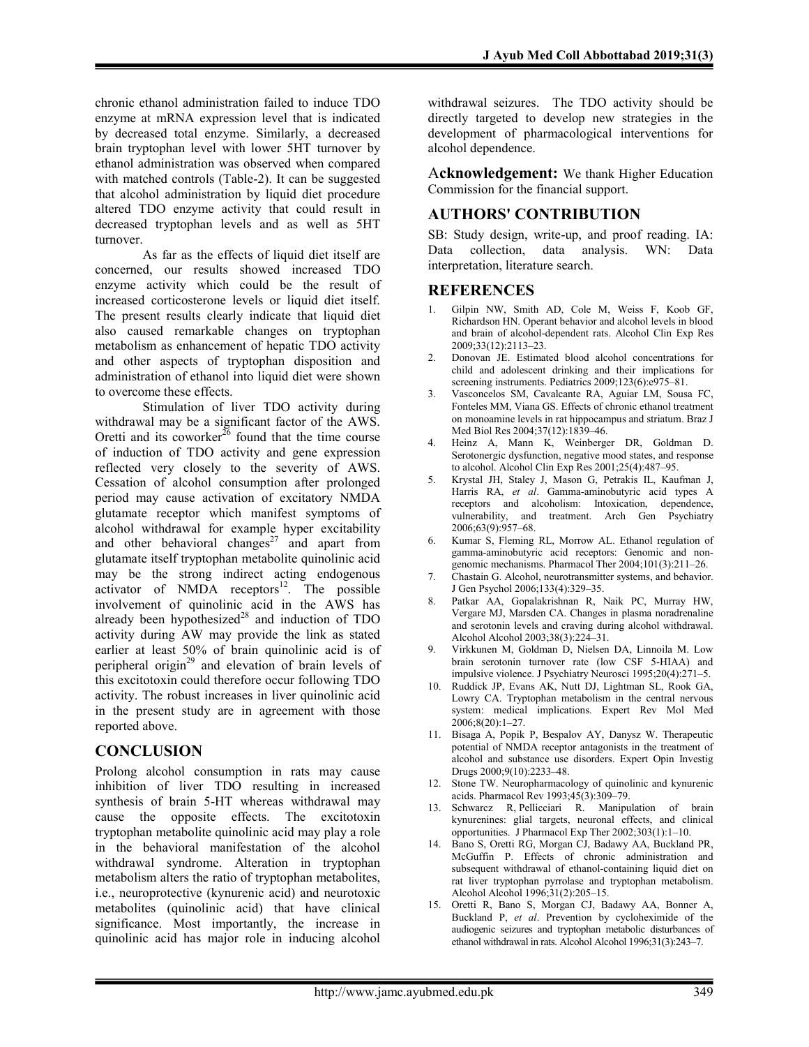chronic ethanol administration failed to induce TDO enzyme at mRNA expression level that is indicated by decreased total enzyme. Similarly, a decreased brain tryptophan level with lower 5HT turnover by ethanol administration was observed when compared with matched controls (Table-2). It can be suggested that alcohol administration by liquid diet procedure altered TDO enzyme activity that could result in decreased tryptophan levels and as well as 5HT turnover.

As far as the effects of liquid diet itself are concerned, our results showed increased TDO enzyme activity which could be the result of increased corticosterone levels or liquid diet itself. The present results clearly indicate that liquid diet also caused remarkable changes on tryptophan metabolism as enhancement of hepatic TDO activity and other aspects of tryptophan disposition and administration of ethanol into liquid diet were shown to overcome these effects.

Stimulation of liver TDO activity during withdrawal may be a significant factor of the AWS. Oretti and its coworker<sup>26</sup> found that the time course of induction of TDO activity and gene expression reflected very closely to the severity of AWS. Cessation of alcohol consumption after prolonged period may cause activation of excitatory NMDA glutamate receptor which manifest symptoms of alcohol withdrawal for example hyper excitability and other behavioral changes<sup>27</sup> and apart from glutamate itself tryptophan metabolite quinolinic acid may be the strong indirect acting endogenous activator of NMDA receptors $12$ . The possible involvement of quinolinic acid in the AWS has already been hypothesized<sup>28</sup> and induction of TDO activity during AW may provide the link as stated earlier at least 50% of brain quinolinic acid is of peripheral origin<sup>29</sup> and elevation of brain levels of this excitotoxin could therefore occur following TDO activity. The robust increases in liver quinolinic acid in the present study are in agreement with those reported above.

### **CONCLUSION**

Prolong alcohol consumption in rats may cause inhibition of liver TDO resulting in increased synthesis of brain 5-HT whereas withdrawal may cause the opposite effects. The excitotoxin tryptophan metabolite quinolinic acid may play a role in the behavioral manifestation of the alcohol withdrawal syndrome. Alteration in tryptophan metabolism alters the ratio of tryptophan metabolites, i.e., neuroprotective (kynurenic acid) and neurotoxic metabolites (quinolinic acid) that have clinical significance. Most importantly, the increase in quinolinic acid has major role in inducing alcohol

withdrawal seizures. The TDO activity should be directly targeted to develop new strategies in the development of pharmacological interventions for alcohol dependence.

A**cknowledgement:** We thank Higher Education Commission for the financial support.

### **AUTHORS' CONTRIBUTION**

SB: Study design, write-up, and proof reading. IA: Data collection, data analysis. WN: Data interpretation, literature search.

### **REFERENCES**

- 1. Gilpin NW, Smith AD, Cole M, Weiss F, Koob GF, Richardson HN. Operant behavior and alcohol levels in blood and brain of alcohol-dependent rats. Alcohol Clin Exp Res 2009;33(12):2113–23.
- 2. Donovan JE. Estimated blood alcohol concentrations for child and adolescent drinking and their implications for screening instruments. Pediatrics 2009;123(6):e975–81.
- 3. Vasconcelos SM, Cavalcante RA, Aguiar LM, Sousa FC, Fonteles MM, Viana GS. Effects of chronic ethanol treatment on monoamine levels in rat hippocampus and striatum. Braz J Med Biol Res 2004;37(12):1839–46.
- 4. Heinz A, Mann K, Weinberger DR, Goldman D. Serotonergic dysfunction, negative mood states, and response to alcohol. Alcohol Clin Exp Res 2001;25(4):487–95.
- 5. Krystal JH, Staley J, Mason G, Petrakis IL, Kaufman J, Harris RA, *et al*. Gamma-aminobutyric acid types A receptors and alcoholism: Intoxication, dependence, vulnerability, and treatment. Arch Gen Psychiatry 2006;63(9):957–68.
- 6. Kumar S, Fleming RL, Morrow AL. Ethanol regulation of gamma-aminobutyric acid receptors: Genomic and nongenomic mechanisms. Pharmacol Ther 2004;101(3):211–26.
- 7. Chastain G. Alcohol, neurotransmitter systems, and behavior. J Gen Psychol 2006;133(4):329–35.
- 8. Patkar AA, Gopalakrishnan R, Naik PC, Murray HW, Vergare MJ, Marsden CA. Changes in plasma noradrenaline and serotonin levels and craving during alcohol withdrawal. Alcohol Alcohol 2003;38(3):224–31.
- 9. Virkkunen M, Goldman D, Nielsen DA, Linnoila M. Low brain serotonin turnover rate (low CSF 5-HIAA) and impulsive violence. J Psychiatry Neurosci 1995;20(4):271–5.
- 10. Ruddick JP, Evans AK, Nutt DJ, Lightman SL, Rook GA, Lowry CA. Tryptophan metabolism in the central nervous system: medical implications. Expert Rev Mol Med  $2006;8(20):1-27.$
- 11. Bisaga A, Popik P, Bespalov AY, Danysz W. Therapeutic potential of NMDA receptor antagonists in the treatment of alcohol and substance use disorders. Expert Opin Investig Drugs 2000;9(10):2233–48.
- 12. Stone TW. Neuropharmacology of quinolinic and kynurenic acids. Pharmacol Rev 1993;45(3):309–79.
- 13. Schwarcz R, Pellicciari R. Manipulation of brain kynurenines: glial targets, neuronal effects, and clinical opportunities. J Pharmacol Exp Ther 2002;303(1):1–10.
- 14. Bano S, Oretti RG, Morgan CJ, Badawy AA, Buckland PR, McGuffin P. Effects of chronic administration and subsequent withdrawal of ethanol-containing liquid diet on rat liver tryptophan pyrrolase and tryptophan metabolism. Alcohol Alcohol 1996;31(2):205–15.
- 15. Oretti R, Bano S, Morgan CJ, Badawy AA, Bonner A, Buckland P, *et al*. Prevention by cycloheximide of the audiogenic seizures and tryptophan metabolic disturbances of ethanol withdrawal in rats. Alcohol Alcohol 1996;31(3):243–7.